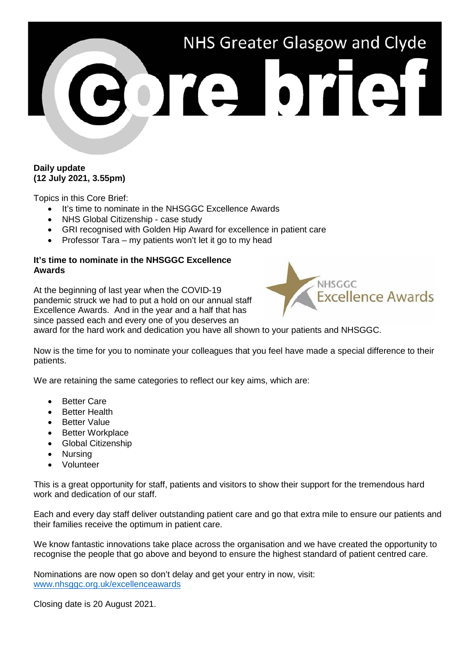

# **Daily update (12 July 2021, 3.55pm)**

Topics in this Core Brief:

- It's time to nominate in the NHSGGC Excellence Awards
- NHS Global Citizenship case study
- GRI recognised with Golden Hip Award for excellence in patient care
- Professor Tara my patients won't let it go to my head

## **It's time to nominate in the NHSGGC Excellence Awards**

At the beginning of last year when the COVID-19 pandemic struck we had to put a hold on our annual staff Excellence Awards. And in the year and a half that has since passed each and every one of you deserves an



award for the hard work and dedication you have all shown to your patients and NHSGGC.

Now is the time for you to nominate your colleagues that you feel have made a special difference to their patients.

We are retaining the same categories to reflect our key aims, which are:

- **Better Care**
- **Better Health**
- Better Value
- Better Workplace
- Global Citizenship
- Nursing
- Volunteer

This is a great opportunity for staff, patients and visitors to show their support for the tremendous hard work and dedication of our staff.

Each and every day staff deliver outstanding patient care and go that extra mile to ensure our patients and their families receive the optimum in patient care.

We know fantastic innovations take place across the organisation and we have created the opportunity to recognise the people that go above and beyond to ensure the highest standard of patient centred care.

Nominations are now open so don't delay and get your entry in now, visit: www.nhsqqc.org.uk/excellenceawards

Closing date is 20 August 2021.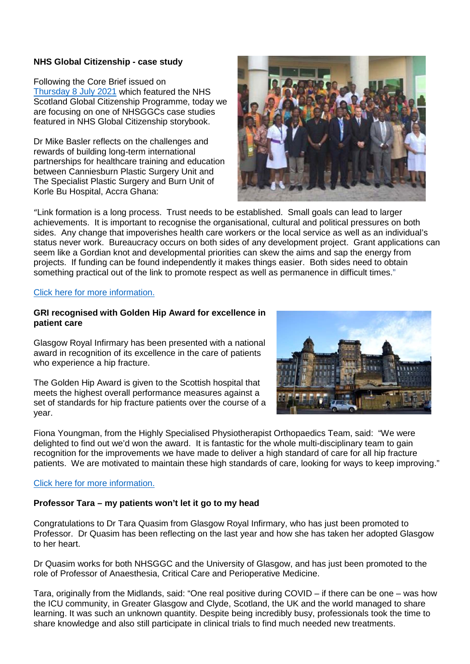## **NHS Global Citizenship - case study**

Following the Core Brief issued on [Thursday 8 July 2021](https://www.nhsggc.org.uk/media/267968/145-core-brief-8-july-2021-daily-update-1245pm.pdf) which featured the NHS Scotland Global Citizenship Programme, today we are focusing on one of NHSGGCs case studies featured in NHS Global Citizenship storybook.

Dr Mike Basler reflects on the challenges and rewards of building long-term international partnerships for healthcare training and education between Canniesburn Plastic Surgery Unit and The Specialist Plastic Surgery and Burn Unit of Korle Bu Hospital, Accra Ghana:



"Link formation is a long process. Trust needs to be established. Small goals can lead to larger achievements. It is important to recognise the organisational, cultural and political pressures on both sides. Any change that impoverishes health care workers or the local service as well as an individual's status never work. Bureaucracy occurs on both sides of any development project. Grant applications can seem like a Gordian knot and developmental priorities can skew the aims and sap the energy from projects. If funding can be found independently it makes things easier. Both sides need to obtain something practical out of the link to promote respect as well as permanence in difficult times."

#### [Click here for more information.](https://www.nhsggc.org.uk/working-with-us/nhs-global-citizenship-programme/)

### **GRI recognised with Golden Hip Award for excellence in patient care**

Glasgow Royal Infirmary has been presented with a national award in recognition of its excellence in the care of patients who experience a hip fracture.

The Golden Hip Award is given to the Scottish hospital that meets the highest overall performance measures against a set of standards for hip fracture patients over the course of a year.



Fiona Youngman, from the Highly Specialised Physiotherapist Orthopaedics Team, said: "We were delighted to find out we'd won the award. It is fantastic for the whole multi-disciplinary team to gain recognition for the improvements we have made to deliver a high standard of care for all hip fracture patients. We are motivated to maintain these high standards of care, looking for ways to keep improving."

### [Click here for more information.](https://www.nhsggc.org.uk/about-us/media-centre/news/2021/07/glasgow-royal-infirmary-wins-national-award/)

### **Professor Tara – my patients won't let it go to my head**

Congratulations to Dr Tara Quasim from Glasgow Royal Infirmary, who has just been promoted to Professor. Dr Quasim has been reflecting on the last year and how she has taken her adopted Glasgow to her heart.

Dr Quasim works for both NHSGGC and the University of Glasgow, and has just been promoted to the role of Professor of Anaesthesia, Critical Care and Perioperative Medicine.

Tara, originally from the Midlands, said: "One real positive during COVID – if there can be one – was how the ICU community, in Greater Glasgow and Clyde, Scotland, the UK and the world managed to share learning. It was such an unknown quantity. Despite being incredibly busy, professionals took the time to share knowledge and also still participate in clinical trials to find much needed new treatments.